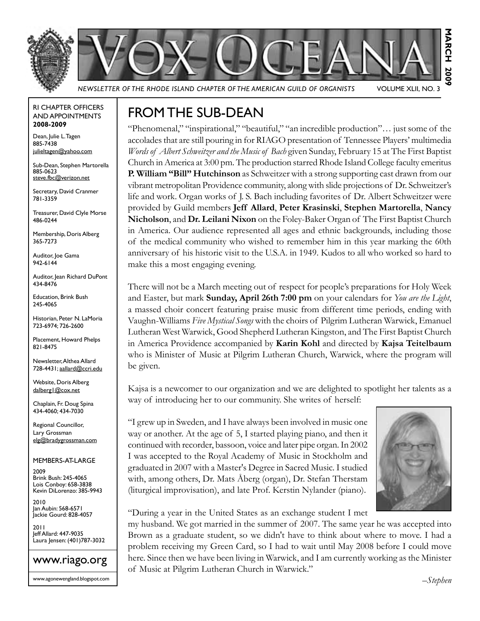



*Newsletter of the Rhode Island Chapter of the American Guild of Organists* Volume XLII, No. 3

#### RI Chapter Officers and Appointments **2008-2009**

Dean, Julie L. Tagen 885-7438 julieltagen@yahoo.com

Sub-Dean, Stephen Martorella 885-0623 steve.fbc@verizon.net

Secretary, David Cranmer 781-3359

Treasurer, David Clyle Morse 486-0244

Membership, Doris Alberg 365-7273

Auditor, Joe Gama 942-6144

Auditor, Jean Richard DuPont 434-8476

Education, Brink Bush 245-4065

Historian, Peter N. LaMoria 723-6974; 726-2600

Placement, Howard Phelps 821-8475

Newsletter, Althea Allard 728-4431; aallard@ccri.edu

Website, Doris Alberg dalberg1@cox.net

Chaplain, Fr. Doug Spina 434-4060; 434-7030

Regional Councillor, Lary Grossman elg@bradygrossman.com

Members-at-Large

2009 Brink Bush: 245-4065 Lois Conboy: 658-3838 Kevin DiLorenzo: 385-9943

2010 Jan Aubin: 568-6571 Jackie Gourd: 828-4057

2011 Jeff Allard: 447-9035 Laura Jensen: (401)787-3032



www.agonewengland.blogspot.com

## From the Sub-Dean

"Phenomenal," "inspirational," "beautiful," "an incredible production"… just some of the accolades that are still pouring in for RIAGO presentation of Tennessee Players' multimedia *Words of Albert Schweitzer and the Music of Bach* given Sunday, February 15 at The First Baptist Church in America at 3:00 pm. The production starred Rhode Island College faculty emeritus **P. William "Bill" Hutchinson** as Schweitzer with a strong supporting cast drawn from our vibrant metropolitan Providence community, along with slide projections of Dr. Schweitzer's life and work. Organ works of J. S. Bach including favorites of Dr. Albert Schweitzer were provided by Guild members **Jeff Allard**, **Peter Krasinski**, **Stephen Martorella**, **Nancy Nicholson**, and **Dr. Leilani Nixon** on the Foley-Baker Organ of The First Baptist Church in America. Our audience represented all ages and ethnic backgrounds, including those of the medical community who wished to remember him in this year marking the 60th anniversary of his historic visit to the U.S.A. in 1949. Kudos to all who worked so hard to make this a most engaging evening.

There will not be a March meeting out of respect for people's preparations for Holy Week and Easter, but mark **Sunday, April 26th 7:00 pm** on your calendars for *You are the Light*, a massed choir concert featuring praise music from different time periods, ending with Vaughn-Williams *Five Mystical Songs* with the choirs of Pilgrim Lutheran Warwick, Emanuel Lutheran West Warwick, Good Shepherd Lutheran Kingston, and The First Baptist Church in America Providence accompanied by **Karin Kohl** and directed by **Kajsa Teitelbaum** who is Minister of Music at Pilgrim Lutheran Church, Warwick, where the program will be given.

Kajsa is a newcomer to our organization and we are delighted to spotlight her talents as a way of introducing her to our community. She writes of herself:

"I grew up in Sweden, and I have always been involved in music one way or another. At the age of 5, I started playing piano, and then it continued with recorder, bassoon, voice and later pipe organ. In 2002 I was accepted to the Royal Academy of Music in Stockholm and graduated in 2007 with a Master's Degree in Sacred Music. I studied with, among others, Dr. Mats Åberg (organ), Dr. Stefan Therstam (liturgical improvisation), and late Prof. Kerstin Nylander (piano).



"During a year in the United States as an exchange student I met

my husband. We got married in the summer of 2007. The same year he was accepted into Brown as a graduate student, so we didn't have to think about where to move. I had a problem receiving my Green Card, so I had to wait until May 2008 before I could move here. Since then we have been living in Warwick, and I am currently working as the Minister of Music at Pilgrim Lutheran Church in Warwick."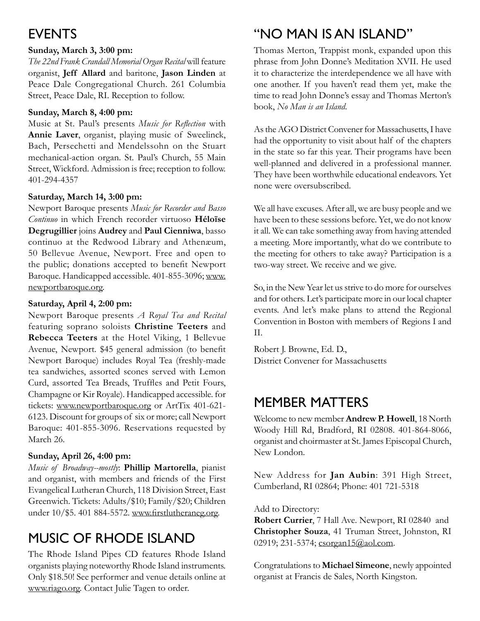# **EVENTS**

#### **Sunday, March 3, 3:00 pm:**

*The 22nd Frank Crandall Memorial Organ Recital* will feature organist, **Jeff Allard** and baritone, **Jason Linden** at Peace Dale Congregational Church. 261 Columbia Street, Peace Dale, RI. Reception to follow.

#### **Sunday, March 8, 4:00 pm:**

Music at St. Paul's presents *Music for Reflection* with **Annie Laver**, organist, playing music of Sweelinck, Bach, Persechetti and Mendelssohn on the Stuart mechanical-action organ. St. Paul's Church, 55 Main Street, Wickford. Admission is free; reception to follow. 401-294-4357

### **Saturday, March 14, 3:00 pm:**

Newport Baroque presents *Music for Recorder and Basso Continuo* in which French recorder virtuoso **Héloïse Degrugillier** joins **Audrey** and **Paul Cienniwa**, basso continuo at the Redwood Library and Athenæum, 50 Bellevue Avenue, Newport. Free and open to the public; donations accepted to benefit Newport Baroque. Handicapped accessible. 401-855-3096; www. newportbaroque.org.

#### **Saturday, April 4, 2:00 pm:**

Newport Baroque presents *A Royal Tea and Recital*  featuring soprano soloists **Christine Teeters** and **Rebecca Teeters** at the Hotel Viking, 1 Bellevue Avenue, Newport. \$45 general admission (to benefit Newport Baroque) includes Royal Tea (freshly-made tea sandwiches, assorted scones served with Lemon Curd, assorted Tea Breads, Truffles and Petit Fours, Champagne or Kir Royale). Handicapped accessible. for tickets: www.newportbaroque.org or ArtTix 401-621- 6123. Discount for groups of six or more; call Newport Baroque: 401-855-3096. Reservations requested by March 26.

### **Sunday, April 26, 4:00 pm:**

*Music of Broadway--mostly*: **Phillip Martorella**, pianist and organist, with members and friends of the First Evangelical Lutheran Church, 118 Division Street, East Greenwich. Tickets: Adults/\$10; Family/\$20; Children under 10/\$5. 401 884-5572. www.firstlutheraneg.org.

# Music of Rhode Island

The Rhode Island Pipes CD features Rhode Island organists playing noteworthy Rhode Island instruments. Only \$18.50! See performer and venue details online at www.riago.org. Contact Julie Tagen to order.

# "No Man is an Island"

Thomas Merton, Trappist monk, expanded upon this phrase from John Donne's Meditation XVII. He used it to characterize the interdependence we all have with one another. If you haven't read them yet, make the time to read John Donne's essay and Thomas Merton's book, *No Man is an Island*.

As the AGO District Convener for Massachusetts, I have had the opportunity to visit about half of the chapters in the state so far this year. Their programs have been well-planned and delivered in a professional manner. They have been worthwhile educational endeavors. Yet none were oversubscribed.

We all have excuses. After all, we are busy people and we have been to these sessions before. Yet, we do not know it all. We can take something away from having attended a meeting. More importantly, what do we contribute to the meeting for others to take away? Participation is a two-way street. We receive and we give.

So, in the New Year let us strive to do more for ourselves and for others. Let's participate more in our local chapter events. And let's make plans to attend the Regional Convention in Boston with members of Regions I and II.

Robert J. Browne, Ed. D., District Convener for Massachusetts

# Member Matters

Welcome to new member **Andrew P. Howell**, 18 North Woody Hill Rd, Bradford, RI 02808. 401-864-8066, organist and choirmaster at St. James Episcopal Church, New London.

New Address for **Jan Aubin**: 391 High Street, Cumberland, RI 02864; Phone: 401 721-5318

Add to Directory:

**Robert Currier**, 7 Hall Ave. Newport, RI 02840 and **Christopher Souza**, 41 Truman Street, Johnston, RI 02919; 231-5374; csorgan15@aol.com.

Congratulations to **Michael Simeone**, newly appointed organist at Francis de Sales, North Kingston.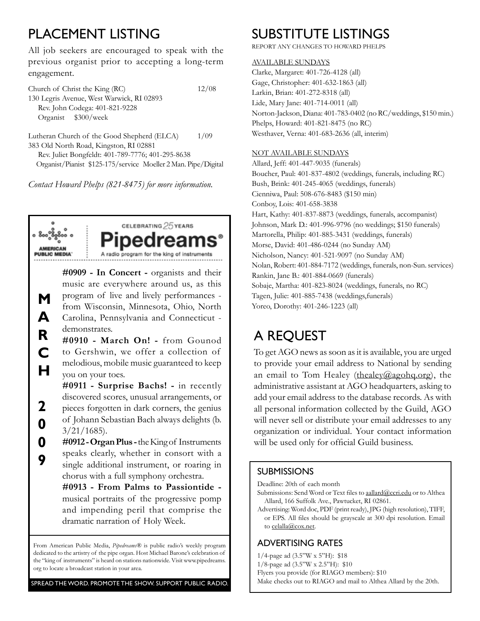# PLACEMENT LISTING

All job seekers are encouraged to speak with the previous organist prior to accepting a long-term engagement.

Church of Christ the King (RC) 12/08 130 Legris Avenue, West Warwick, RI 02893 Rev. John Codega: 401-821-9228 Organist \$300/week

Lutheran Church of the Good Shepherd (ELCA) 1/09 383 Old North Road, Kingston, RI 02881 Rev. Juliet Bongfeldt: 401-789-7776; 401-295-8638

Organist/Pianist \$125-175/service Moeller 2 Man. Pipe/Digital

*Contact Howard Phelps (821-8475) for more information.*



**A**

**2**

**0**

**CELEBRATING 25 YEARS** A radio program for the king

**M** program of live and lively performances - Tagen, Julie: 401-885-7438 (weddings, funerals) from Wisconsin, Minnesota, Ohio, North Yoreo, Dorothy: 401-246-1223 (all) **#0909 - In Concert -** organists and their music are everywhere around us, as this program of live and lively performances - Carolina, Pennsylvania and Connecticut demonstrates.

**R C H #0910 - March On! -** from Gounod to Gershwin, we offer a collection of melodious, mobile music guaranteed to keep you on your toes.

**#0911 - Surprise Bachs! -** in recently discovered scores, unusual arrangements, or pieces forgotten in dark corners, the genius of Johann Sebastian Bach always delights (b.  $3/21/1685$ ).

**0 9 #0912 - Organ Plus -** the King of Instruments speaks clearly, whether in consort with a single additional instrument, or roaring in chorus with a full symphony orchestra.

> **#0913 - From Palms to Passiontide**  musical portraits of the progressive pomp and impending peril that comprise the dramatic narration of Holy Week.

From American Public Media, *Pipedreams®* is public radio's weekly program dedicated to the artistry of the pipe organ. Host Michael Barone's celebration of the "king of instruments" is heard on stations nationwide. Visit www.pipedreams. org to locate a broadcast station in your area.

```
Spread the Word. Promote the Show. Support Public Radio.
```
# Substitute Listings

Report any changes to Howard Phelps

#### Available Sundays

Clarke, Margaret: 401-726-4128 (all) Gage, Christopher: 401-632-1863 (all) Larkin, Brian: 401-272-8318 (all) Lide, Mary Jane: 401-714-0011 (all) Norton-Jackson, Diana: 401-783-0402 (no RC/weddings, \$150 min.) Phelps, Howard: 401-821-8475 (no RC) Westhaver, Verna: 401-683-2636 (all, interim)

#### Not Available Sundays

Allard, Jeff: 401-447-9035 (funerals) Boucher, Paul: 401-837-4802 (weddings, funerals, including RC) Bush, Brink: 401-245-4065 (weddings, funerals) Cienniwa, Paul: 508-676-8483 (\$150 min) Conboy, Lois: 401-658-3838 Hart, Kathy: 401-837-8873 (weddings, funerals, accompanist) Johnson, Mark D.: 401-996-9796 (no weddings; \$150 funerals) Martorella, Philip: 401-885-3431 (weddings, funerals) Morse, David: 401-486-0244 (no Sunday AM) Nicholson, Nancy: 401-521-9097 (no Sunday AM) Nolan, Robert: 401-884-7172 (weddings, funerals, non-Sun. services) Rankin, Jane B.: 401-884-0669 (funerals) Sobaje, Martha: 401-823-8024 (weddings, funerals, no RC)

# A Request

To get AGO news as soon as it is available, you are urged to provide your email address to National by sending an email to Tom Healey (thealey@agohq.org), the administrative assistant at AGO headquarters, asking to add your email address to the database records. As with all personal information collected by the Guild, AGO will never sell or distribute your email addresses to any organization or individual. Your contact information will be used only for official Guild business.

#### **SUBMISSIONS**

Deadline: 20th of each month

- Submissions: Send Word or Text files to aallard@ccri.edu or to Althea Allard, 166 Suffolk Ave., Pawtucket, RI 02861.
- Advertising: Word doc, PDF (print ready), JPG (high resolution), TIFF, or EPS. All files should be grayscale at 300 dpi resolution. Email to celalla@cox.net.

### Advertising Rates

- 1/4-page ad (3.5"W x 5"H): \$18
- 1/8-page ad (3.5"W x 2.5"H): \$10
- Flyers you provide (for RIAGO members): \$10
- Make checks out to RIAGO and mail to Althea Allard by the 20th.